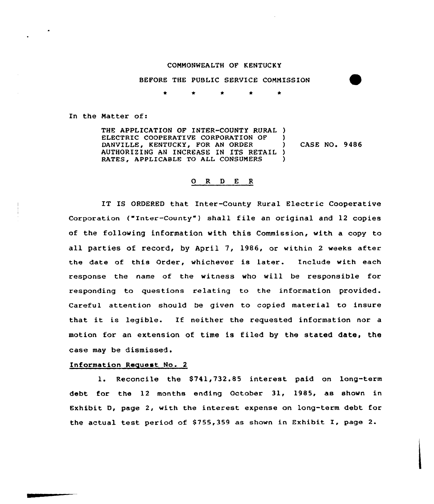## COMMONWEALTH OF KENTUCKY

BEFORE THE PUBLIC SERVICE COMMISSION

In the Matter of:

THE APPLICATION OF INTER-COUNTY RURAL ) ELECTRIC COOPERATIVE CORPORATION OF DANVILLE, KENTUCKY, FOR AN ORDER AUTHORIZING AN INCREASE IN ITS RETAIL ) RATES, APPLICABLE TO ALL CONSUMERS  $\mathbf{I}$ ) CASE NO. 9486 )

## O R D E R

IT IS ORDERED that Inter-County Rural Electric Cooperative Corporation ("Inter-County") shall file an original and 12 copies of the following information with this Commission, with a copy to all parties of record, by April 7, 1986, or within 2 weeks after the date of this Order, whichever is later. Include with each response the name of the witness who will be responsible for responding to questions relating to the information provided. Careful attention should be given to copied material to insure that it is legible. If neither the requested information nor <sup>a</sup> motion for an extension of time is filed by the stated date, the case may be dismissed.

## Information Request No. 2

1. Reconcile the S741,732.85 interest paid on long-term debt for the 12 months ending October 31, 1985, as shown in Exhibit D, page 2, with the interest expense on long-term debt for the actual test period of  $$755,359$  as shown in Exhibit I, page 2.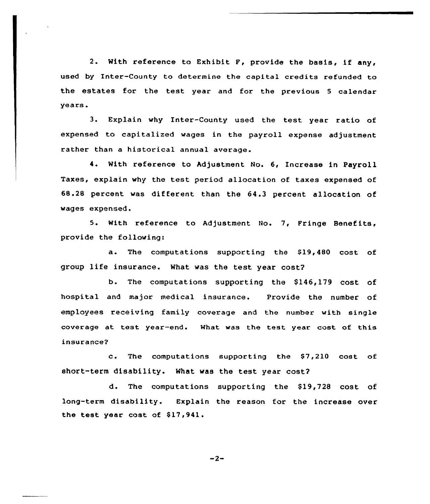2. With reference to Exhibit F, provide the basis, if any, used by Inter-County to determine the capital credits refunded to the estates for the test year and for the previous <sup>5</sup> calendar years.

3. Explain why Inter-County used the test year ratio of expensed to capitalized wages in the payroll expense adjustment rather than a historical annual average.

4. With reference to Adjustment No. 6, Increase in Payroll Taxes, explain why the test period allocation of taxes expensed of 68.28 percent was different than the 64.3 percent allocation of wages expensed.

5. With reference to Adjustment No. 7, Fringe Benefits, provide the following:

a. The computations supporting the \$19,480 cost of group life insurance. What was the test year cost?

b. The computations supporting the \$146,179 cost of hospital and major medical insurance. Provide the number of employees receiving family coverage and the number with single coverage at test year-end. What was the test year cost of this insurance?

c. The computations supporting the  $$7,210$  cost of short-term disability. What was the test year cost?

d. The computations supporting the \$19,728 cost of long-term disability. Explain the reason for the increase over the test year cost of \$17,941.

 $-2-$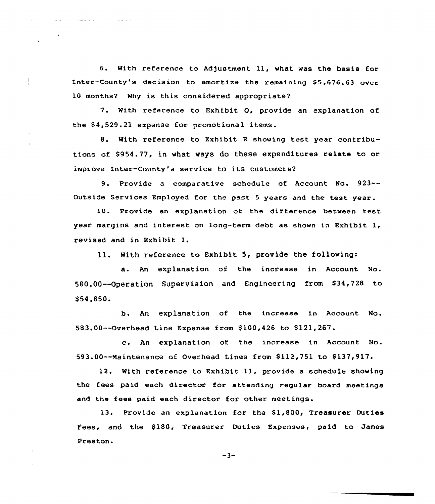6. With reference to Adjustment 11, what was the basis for Inter-County's decision to amortize the remaining \$5,676.63 over 10 months? Why is this considered appropriate?

7. With reference to Exhibit Q, provide an explanation of the \$4,529.21 expense for promotional items.

 $\mathbf{r}$ 

8. With reference to Exhibit <sup>R</sup> showing test year contributions of \$954.77, in what ways do these expenditures relate to or improve Inter-County's service to its customers?

9. Provide <sup>a</sup> comparative schedule of Account No. 923-- Outside Services Employed for the past <sup>5</sup> years and the test year.

10. Provide an explanation of the difference between test year margins and interest on long-term debt as shown in Exhibit 1, revised and in Exhibit I.

ll. With reference to Exhibit 5, provide the followings

a. An explanation of the increase in Account No. 580.00--Operation Supervision and Engineering from \$34,728 to \$54,850.

b. An explanation of the increase in Account No. 583.00--Overhead Line Expense from \$100,426 to \$121,267.

c. An explanation of the increase in Account No. 593.00--Maintenance of Overhead Lines from \$112,751 to \$137,917.

12. With reference to Exhibit ll, provide <sup>a</sup> schedule showing the fees paid each director for attending regular board meetings and the fees paid each director for other meetings.

13. Provide an explanation for the \$1,800, Treasurer Duties Fees, and the \$180, Treasurer Duties Expenses, paid to James Preston.

 $-3-$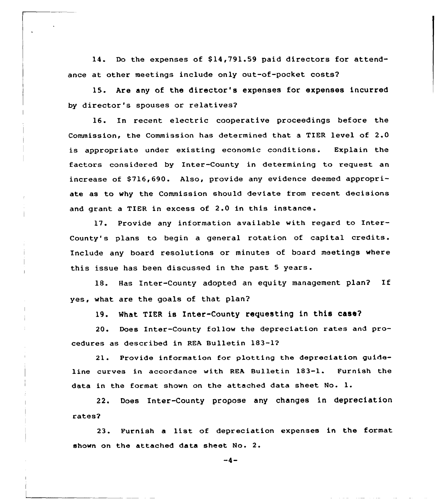14. Do the expenses of \$14,791.59 paid directors for attendance at other meetings include only out-of-pocket costs?

15. Are any of the director's expenses for expenses incurred by director's spouses or relatives?

16. In recent electric cooperative proceedings before the Commission, the Commission has determined that a TIER level of 2.0 is appropriate under existing economic conditions. Explain the factors considered by Inter-County in determining to request an increase of \$716,690. Also, provide any evidence deemed appropriate as to why the Commission should deviate from recent decisions and grant <sup>a</sup> TIER in excess of 2.0 in this instance .

17. Provide any information available with regard to Inter-County's plans to begin a general rotation of capital credits. Include any board resolutions or minutes of board meetings where this issue has been discussed in the past <sup>5</sup> years.

18. Has Inter-County adopted an equity management plan2 If yes, what are the goals of that plan?

19. What TIER is Inter-County requesting in this case?

20. Does Inter-County follow the depreciation rates and procedures as described in REA Bulletin 183-1?

21. Provide information for plotting the depreciation guideline curves in accordance with REA Bulletin 183-1. Furnish the data in the format shown on the attached data sheet No. l.

22. Does Inter-County propose any changes in depreciation rates2

23. Furnish a list of depreciation expenses in the format shown on the attached data sheet No. 2.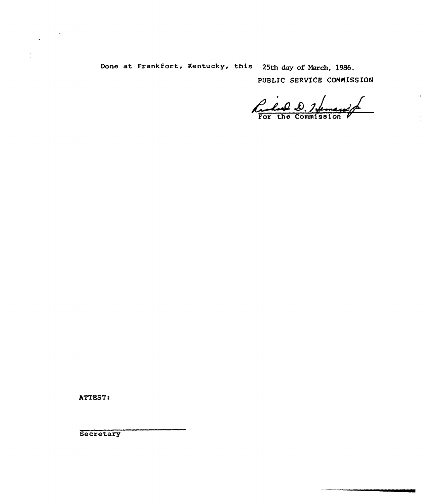Done at Frankfort, Kentucky, this 25th day of March, 1986. PUBLIC SERVICE COMMISSION

Rules D. Hemanig

ATTEST:

Secretary